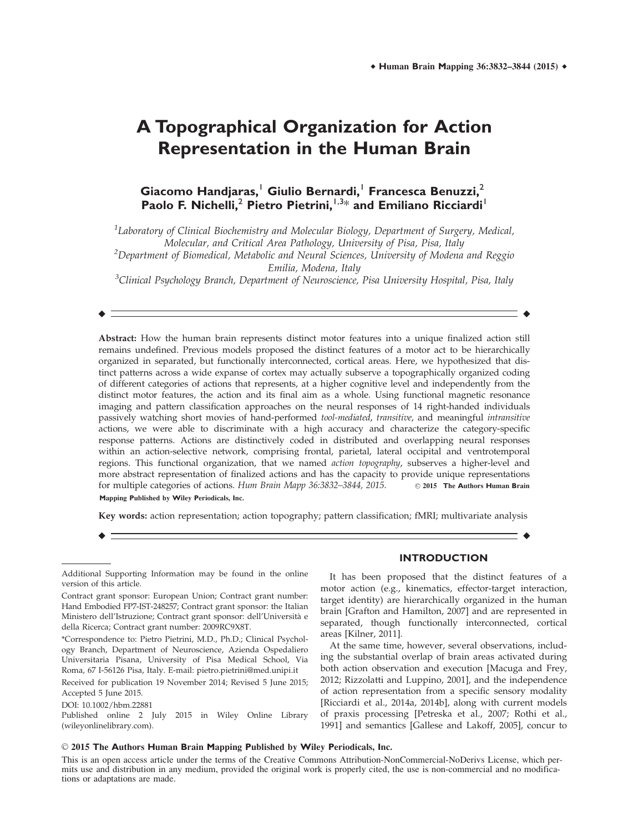# **A Topographical Organization for Action Representation in the Human Brain**

**Giacomo Handjaras,**<sup>1</sup> **Giulio Bernardi,**<sup>1</sup> **Francesca Benuzzi,**<sup>2</sup> **Paolo F. Nichelli,<sup>2</sup> Pietro Pietrini,<sup>1,3\*</sup> and Emiliano Ricciardi<sup>1</sup>** 

 $^1$ Laboratory of Clinical Biochemistry and Molecular Biology, Department of Surgery, Medical, Molecular, and Critical Area Pathology, University of Pisa, Pisa, Italy

 $^2$ Department of Biomedical, Metabolic and Neural Sciences, University of Modena and Reggio Emilia, Modena, Italy

 $^3$ Clinical Psychology Branch, Department of Neuroscience, Pisa University Hospital, Pisa, Italy

 $\bullet$  contracts the contract of the contract of the contract of the contract of the contract of the contract of the contract of the contract of the contract of the contract of the contract of the contract of the contract o

Abstract: How the human brain represents distinct motor features into a unique finalized action still remains undefined. Previous models proposed the distinct features of a motor act to be hierarchically organized in separated, but functionally interconnected, cortical areas. Here, we hypothesized that distinct patterns across a wide expanse of cortex may actually subserve a topographically organized coding of different categories of actions that represents, at a higher cognitive level and independently from the distinct motor features, the action and its final aim as a whole. Using functional magnetic resonance imaging and pattern classification approaches on the neural responses of 14 right-handed individuals passively watching short movies of hand-performed tool-mediated, transitive, and meaningful intransitive actions, we were able to discriminate with a high accuracy and characterize the category-specific response patterns. Actions are distinctively coded in distributed and overlapping neural responses within an action-selective network, comprising frontal, parietal, lateral occipital and ventrotemporal regions. This functional organization, that we named *action topography*, subserves a higher-level and more abstract representation of finalized actions and has the capacity to provide unique representations for multiple categories of actions. Hum Brain Mapp 36:3832-3844, 2015. **T**he **A**uthors **H**uman **B**rain **M**apping **P**ublished by **W**iley **P**eriodicals, **I**nc.

Key words: action representation; action topography; pattern classification; fMRI; multivariate analysis

r r

#### Additional Supporting Information may be found in the online version of this article.

Received for publication 19 November 2014; Revised 5 June 2015; Accepted 5 June 2015.

Published online 2 July 2015 in Wiley Online Library (wileyonlinelibrary.com).

It has been proposed that the distinct features of a motor action (e.g., kinematics, effector-target interaction, target identity) are hierarchically organized in the human brain [Grafton and Hamilton, 2007] and are represented in separated, though functionally interconnected, cortical areas [Kilner, 2011].

**INTRODUCTION**

At the same time, however, several observations, including the substantial overlap of brain areas activated during both action observation and execution [Macuga and Frey, 2012; Rizzolatti and Luppino, 2001], and the independence of action representation from a specific sensory modality [Ricciardi et al., 2014a, 2014b], along with current models of praxis processing [Petreska et al., 2007; Rothi et al., 1991] and semantics [Gallese and Lakoff, 2005], concur to

#### V<sup>C</sup> 2015 **T**he **A**uthors **H**uman **B**rain **M**apping **P**ublished by **W**iley **P**eriodicals, **I**nc.

This is an open access article under the terms of the Creative Commons Attribution-NonCommercial-NoDerivs License, which permits use and distribution in any medium, provided the original work is properly cited, the use is non-commercial and no modifications or adaptations are made.

Contract grant sponsor: European Union; Contract grant number: Hand Embodied FP7-IST-248257; Contract grant sponsor: the Italian Ministero dell'Istruzione; Contract grant sponsor: dell'Università e della Ricerca; Contract grant number: 2009RC9X8T.

<sup>\*</sup>Correspondence to: Pietro Pietrini, M.D., Ph.D.; Clinical Psychology Branch, Department of Neuroscience, Azienda Ospedaliero Universitaria Pisana, University of Pisa Medical School, Via Roma, 67 I-56126 Pisa, Italy. E-mail: pietro.pietrini@med.unipi.it

DOI: 10.1002/hbm.22881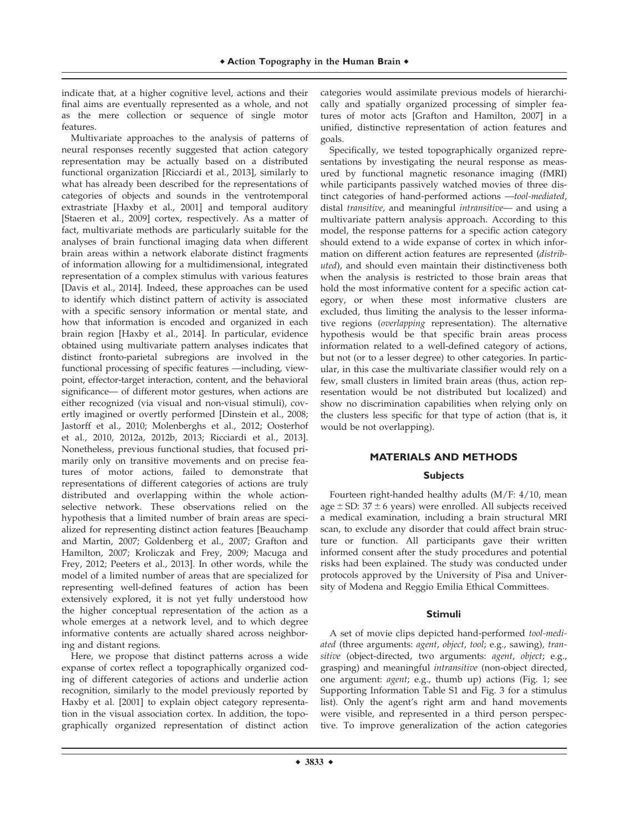indicate that, at a higher cognitive level, actions and their final aims are eventually represented as a whole, and not as the mere collection or sequence of single motor features.

Multivariate approaches to the analysis of patterns of neural responses recently suggested that action category representation may be actually based on a distributed functional organization [Ricciardi et al., 2013], similarly to what has already been described for the representations of categories of objects and sounds in the ventrotemporal extrastriate [Haxby et al., 2001] and temporal auditory [Staeren et al., 2009] cortex, respectively. As a matter of fact, multivariate methods are particularly suitable for the analyses of brain functional imaging data when different brain areas within a network elaborate distinct fragments of information allowing for a multidimensional, integrated representation of a complex stimulus with various features [Davis et al., 2014]. Indeed, these approaches can be used to identify which distinct pattern of activity is associated with a specific sensory information or mental state, and how that information is encoded and organized in each brain region [Haxby et al., 2014]. In particular, evidence obtained using multivariate pattern analyses indicates that distinct fronto-parietal subregions are involved in the functional processing of specific features —including, viewpoint, effector-target interaction, content, and the behavioral significance— of different motor gestures, when actions are either recognized (via visual and non-visual stimuli), covertly imagined or overtly performed [Dinstein et al., 2008; Jastorff et al., 2010; Molenberghs et al., 2012; Oosterhof et al., 2010, 2012a, 2012b, 2013; Ricciardi et al., 2013]. Nonetheless, previous functional studies, that focused primarily only on transitive movements and on precise features of motor actions, failed to demonstrate that representations of different categories of actions are truly distributed and overlapping within the whole actionselective network. These observations relied on the hypothesis that a limited number of brain areas are specialized for representing distinct action features [Beauchamp and Martin, 2007; Goldenberg et al., 2007; Grafton and Hamilton, 2007; Kroliczak and Frey, 2009; Macuga and Frey, 2012; Peeters et al., 2013]. In other words, while the model of a limited number of areas that are specialized for representing well-defined features of action has been extensively explored, it is not yet fully understood how the higher conceptual representation of the action as a whole emerges at a network level, and to which degree informative contents are actually shared across neighboring and distant regions.

Here, we propose that distinct patterns across a wide expanse of cortex reflect a topographically organized coding of different categories of actions and underlie action recognition, similarly to the model previously reported by Haxby et al. [2001] to explain object category representation in the visual association cortex. In addition, the topographically organized representation of distinct action

categories would assimilate previous models of hierarchically and spatially organized processing of simpler features of motor acts [Grafton and Hamilton, 2007] in a unified, distinctive representation of action features and goals.

Specifically, we tested topographically organized representations by investigating the neural response as measured by functional magnetic resonance imaging (fMRI) while participants passively watched movies of three distinct categories of hand-performed actions —tool-mediated, distal transitive, and meaningful intransitive- and using a multivariate pattern analysis approach. According to this model, the response patterns for a specific action category should extend to a wide expanse of cortex in which information on different action features are represented (distributed), and should even maintain their distinctiveness both when the analysis is restricted to those brain areas that hold the most informative content for a specific action category, or when these most informative clusters are excluded, thus limiting the analysis to the lesser informative regions (overlapping representation). The alternative hypothesis would be that specific brain areas process information related to a well-defined category of actions, but not (or to a lesser degree) to other categories. In particular, in this case the multivariate classifier would rely on a few, small clusters in limited brain areas (thus, action representation would be not distributed but localized) and show no discrimination capabilities when relying only on the clusters less specific for that type of action (that is, it would be not overlapping).

#### **MATERIALS AND METHODS**

#### **Subjects**

Fourteen right-handed healthy adults (M/F: 4/10, mean age  $\pm$  SD: 37  $\pm$  6 years) were enrolled. All subjects received a medical examination, including a brain structural MRI scan, to exclude any disorder that could affect brain structure or function. All participants gave their written informed consent after the study procedures and potential risks had been explained. The study was conducted under protocols approved by the University of Pisa and University of Modena and Reggio Emilia Ethical Committees.

#### **Stimuli**

A set of movie clips depicted hand-performed tool-mediated (three arguments: agent, object, tool; e.g., sawing), transitive (object-directed, two arguments: agent, object; e.g., grasping) and meaningful intransitive (non-object directed, one argument: agent; e.g., thumb up) actions (Fig. 1; see Supporting Information Table S1 and Fig. 3 for a stimulus list). Only the agent's right arm and hand movements were visible, and represented in a third person perspective. To improve generalization of the action categories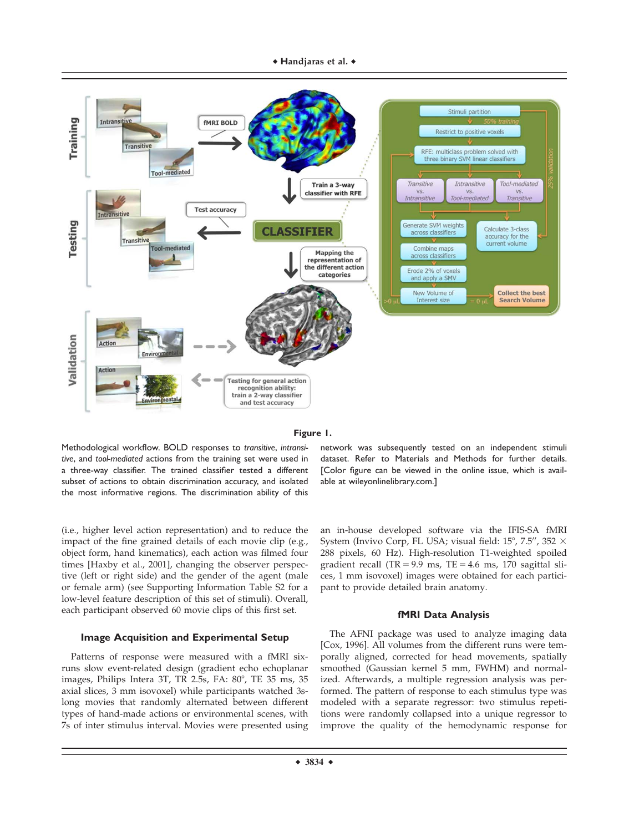

#### **Figure 1.**

Methodological workflow. BOLD responses to *transitive*, *intransitive*, and *tool-mediated* actions from the training set were used in a three-way classifier. The trained classifier tested a different subset of actions to obtain discrimination accuracy, and isolated the most informative regions. The discrimination ability of this

(i.e., higher level action representation) and to reduce the impact of the fine grained details of each movie clip (e.g., object form, hand kinematics), each action was filmed four times [Haxby et al., 2001], changing the observer perspective (left or right side) and the gender of the agent (male or female arm) (see Supporting Information Table S2 for a low-level feature description of this set of stimuli). Overall, each participant observed 60 movie clips of this first set.

#### **Image Acquisition and Experimental Setup**

Patterns of response were measured with a fMRI sixruns slow event-related design (gradient echo echoplanar images, Philips Intera 3T, TR 2.5s, FA: 80°, TE 35 ms, 35 axial slices, 3 mm isovoxel) while participants watched 3slong movies that randomly alternated between different types of hand-made actions or environmental scenes, with 7s of inter stimulus interval. Movies were presented using

network was subsequently tested on an independent stimuli dataset. Refer to Materials and Methods for further details. [Color figure can be viewed in the online issue, which is available at [wileyonlinelibrary.com.](http://wileyonlinelibrary.com)]

an in-house developed software via the IFIS-SA fMRI System (Invivo Corp, FL USA; visual field: 15°, 7.5″, 352  $\times$ 288 pixels, 60 Hz). High-resolution T1-weighted spoiled gradient recall (TR = 9.9 ms, TE = 4.6 ms, 170 sagittal slices, 1 mm isovoxel) images were obtained for each participant to provide detailed brain anatomy.

#### **fMRI Data Analysis**

The AFNI package was used to analyze imaging data [Cox, 1996]. All volumes from the different runs were temporally aligned, corrected for head movements, spatially smoothed (Gaussian kernel 5 mm, FWHM) and normalized. Afterwards, a multiple regression analysis was performed. The pattern of response to each stimulus type was modeled with a separate regressor: two stimulus repetitions were randomly collapsed into a unique regressor to improve the quality of the hemodynamic response for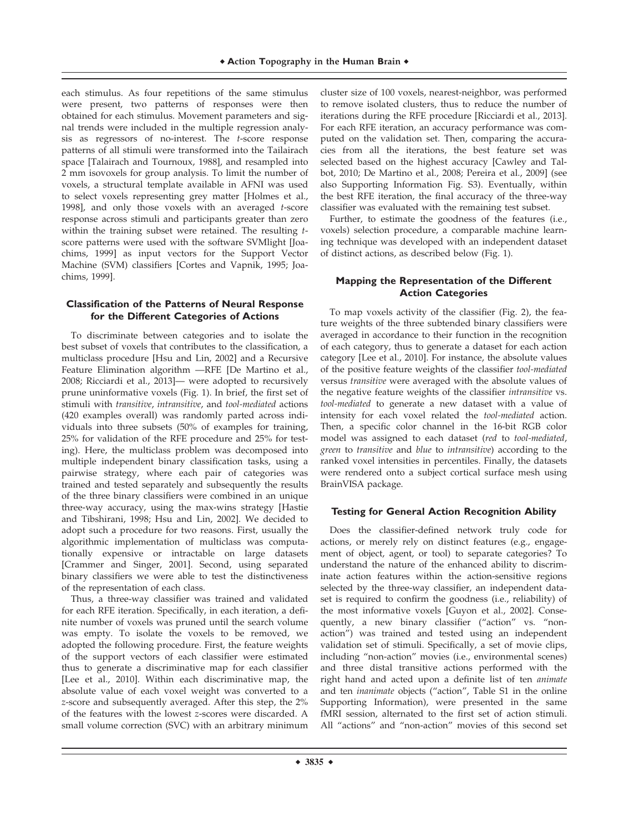each stimulus. As four repetitions of the same stimulus were present, two patterns of responses were then obtained for each stimulus. Movement parameters and signal trends were included in the multiple regression analysis as regressors of no-interest. The t-score response patterns of all stimuli were transformed into the Tailairach space [Talairach and Tournoux, 1988], and resampled into 2 mm isovoxels for group analysis. To limit the number of voxels, a structural template available in AFNI was used to select voxels representing grey matter [Holmes et al., 1998], and only those voxels with an averaged  $t$ -score response across stimuli and participants greater than zero within the training subset were retained. The resulting tscore patterns were used with the software SVMlight [Joachims, 1999] as input vectors for the Support Vector Machine (SVM) classifiers [Cortes and Vapnik, 1995; Joachims, 1999].

## **Classification of the Patterns of Neural Response for the Different Categories of Actions**

To discriminate between categories and to isolate the best subset of voxels that contributes to the classification, a multiclass procedure [Hsu and Lin, 2002] and a Recursive Feature Elimination algorithm —RFE [De Martino et al., 2008; Ricciardi et al., 2013]— were adopted to recursively prune uninformative voxels (Fig. 1). In brief, the first set of stimuli with transitive, intransitive, and tool-mediated actions (420 examples overall) was randomly parted across individuals into three subsets (50% of examples for training, 25% for validation of the RFE procedure and 25% for testing). Here, the multiclass problem was decomposed into multiple independent binary classification tasks, using a pairwise strategy, where each pair of categories was trained and tested separately and subsequently the results of the three binary classifiers were combined in an unique three-way accuracy, using the max-wins strategy [Hastie and Tibshirani, 1998; Hsu and Lin, 2002]. We decided to adopt such a procedure for two reasons. First, usually the algorithmic implementation of multiclass was computationally expensive or intractable on large datasets [Crammer and Singer, 2001]. Second, using separated binary classifiers we were able to test the distinctiveness of the representation of each class.

Thus, a three-way classifier was trained and validated for each RFE iteration. Specifically, in each iteration, a definite number of voxels was pruned until the search volume was empty. To isolate the voxels to be removed, we adopted the following procedure. First, the feature weights of the support vectors of each classifier were estimated thus to generate a discriminative map for each classifier [Lee et al., 2010]. Within each discriminative map, the absolute value of each voxel weight was converted to a z-score and subsequently averaged. After this step, the 2% of the features with the lowest z-scores were discarded. A small volume correction (SVC) with an arbitrary minimum

cluster size of 100 voxels, nearest-neighbor, was performed to remove isolated clusters, thus to reduce the number of iterations during the RFE procedure [Ricciardi et al., 2013]. For each RFE iteration, an accuracy performance was computed on the validation set. Then, comparing the accuracies from all the iterations, the best feature set was selected based on the highest accuracy [Cawley and Talbot, 2010; De Martino et al., 2008; Pereira et al., 2009] (see also Supporting Information Fig. S3). Eventually, within the best RFE iteration, the final accuracy of the three-way classifier was evaluated with the remaining test subset.

Further, to estimate the goodness of the features (i.e., voxels) selection procedure, a comparable machine learning technique was developed with an independent dataset of distinct actions, as described below (Fig. 1).

# **Mapping the Representation of the Different Action Categories**

To map voxels activity of the classifier (Fig. 2), the feature weights of the three subtended binary classifiers were averaged in accordance to their function in the recognition of each category, thus to generate a dataset for each action category [Lee et al., 2010]. For instance, the absolute values of the positive feature weights of the classifier tool-mediated versus transitive were averaged with the absolute values of the negative feature weights of the classifier intransitive vs. tool-mediated to generate a new dataset with a value of intensity for each voxel related the tool-mediated action. Then, a specific color channel in the 16-bit RGB color model was assigned to each dataset (red to tool-mediated, green to transitive and blue to intransitive) according to the ranked voxel intensities in percentiles. Finally, the datasets were rendered onto a subject cortical surface mesh using BrainVISA package.

## **Testing for General Action Recognition Ability**

Does the classifier-defined network truly code for actions, or merely rely on distinct features (e.g., engagement of object, agent, or tool) to separate categories? To understand the nature of the enhanced ability to discriminate action features within the action-sensitive regions selected by the three-way classifier, an independent dataset is required to confirm the goodness (i.e., reliability) of the most informative voxels [Guyon et al., 2002]. Consequently, a new binary classifier ("action" vs. "nonaction") was trained and tested using an independent validation set of stimuli. Specifically, a set of movie clips, including "non-action" movies (i.e., environmental scenes) and three distal transitive actions performed with the right hand and acted upon a definite list of ten animate and ten inanimate objects ("action", Table S1 in the online Supporting Information), were presented in the same fMRI session, alternated to the first set of action stimuli. All "actions" and "non-action" movies of this second set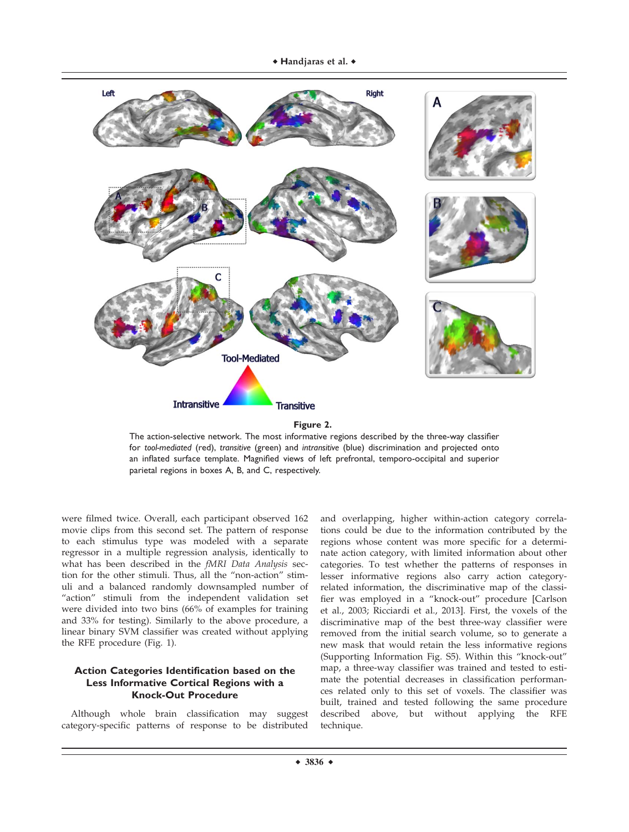

The action-selective network. The most informative regions described by the three-way classifier for *tool-mediated* (red), *transitive* (green) and *intransitive* (blue) discrimination and projected onto an inflated surface template. Magnified views of left prefrontal, temporo-occipital and superior parietal regions in boxes A, B, and C, respectively.

were filmed twice. Overall, each participant observed 162 movie clips from this second set. The pattern of response to each stimulus type was modeled with a separate regressor in a multiple regression analysis, identically to what has been described in the fMRI Data Analysis section for the other stimuli. Thus, all the "non-action" stimuli and a balanced randomly downsampled number of "action" stimuli from the independent validation set were divided into two bins (66% of examples for training and 33% for testing). Similarly to the above procedure, a linear binary SVM classifier was created without applying the RFE procedure (Fig. 1).

# **Action Categories Identification based on the Less Informative Cortical Regions with a Knock-Out Procedure**

Although whole brain classification may suggest category-specific patterns of response to be distributed

and overlapping, higher within-action category correlations could be due to the information contributed by the regions whose content was more specific for a determinate action category, with limited information about other categories. To test whether the patterns of responses in lesser informative regions also carry action categoryrelated information, the discriminative map of the classifier was employed in a "knock-out" procedure [Carlson et al., 2003; Ricciardi et al., 2013]. First, the voxels of the discriminative map of the best three-way classifier were removed from the initial search volume, so to generate a new mask that would retain the less informative regions (Supporting Information Fig. S5). Within this "knock-out" map, a three-way classifier was trained and tested to estimate the potential decreases in classification performances related only to this set of voxels. The classifier was built, trained and tested following the same procedure described above, but without applying the RFE technique.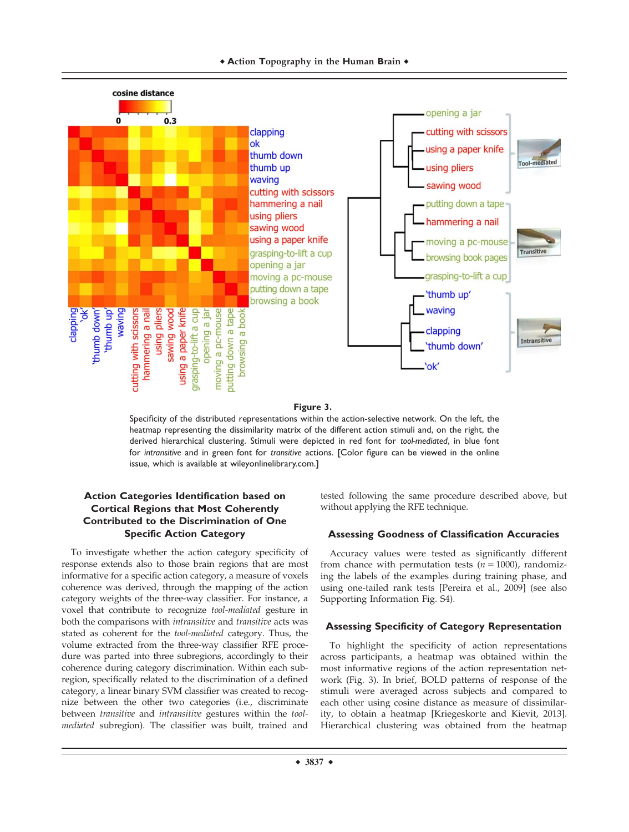

#### **Figure 3.**

Specificity of the distributed representations within the action-selective network. On the left, the heatmap representing the dissimilarity matrix of the different action stimuli and, on the right, the derived hierarchical clustering. Stimuli were depicted in red font for *tool-mediated*, in blue font for *intransitive* and in green font for *transitive* actions. [Color figure can be viewed in the online issue, which is available at [wileyonlinelibrary.com.](http://wileyonlinelibrary.com)]

# **Action Categories Identification based on Cortical Regions that Most Coherently Contributed to the Discrimination of One Specific Action Category**

To investigate whether the action category specificity of response extends also to those brain regions that are most informative for a specific action category, a measure of voxels coherence was derived, through the mapping of the action category weights of the three-way classifier. For instance, a voxel that contribute to recognize tool-mediated gesture in both the comparisons with intransitive and transitive acts was stated as coherent for the tool-mediated category. Thus, the volume extracted from the three-way classifier RFE procedure was parted into three subregions, accordingly to their coherence during category discrimination. Within each subregion, specifically related to the discrimination of a defined category, a linear binary SVM classifier was created to recognize between the other two categories (i.e., discriminate between transitive and intransitive gestures within the toolmediated subregion). The classifier was built, trained and

tested following the same procedure described above, but without applying the RFE technique.

## **Assessing Goodness of Classification Accuracies**

Accuracy values were tested as significantly different from chance with permutation tests  $(n = 1000)$ , randomizing the labels of the examples during training phase, and using one-tailed rank tests [Pereira et al., 2009] (see also Supporting Information Fig. S4).

## **Assessing Specificity of Category Representation**

To highlight the specificity of action representations across participants, a heatmap was obtained within the most informative regions of the action representation network (Fig. 3). In brief, BOLD patterns of response of the stimuli were averaged across subjects and compared to each other using cosine distance as measure of dissimilarity, to obtain a heatmap [Kriegeskorte and Kievit, 2013]. Hierarchical clustering was obtained from the heatmap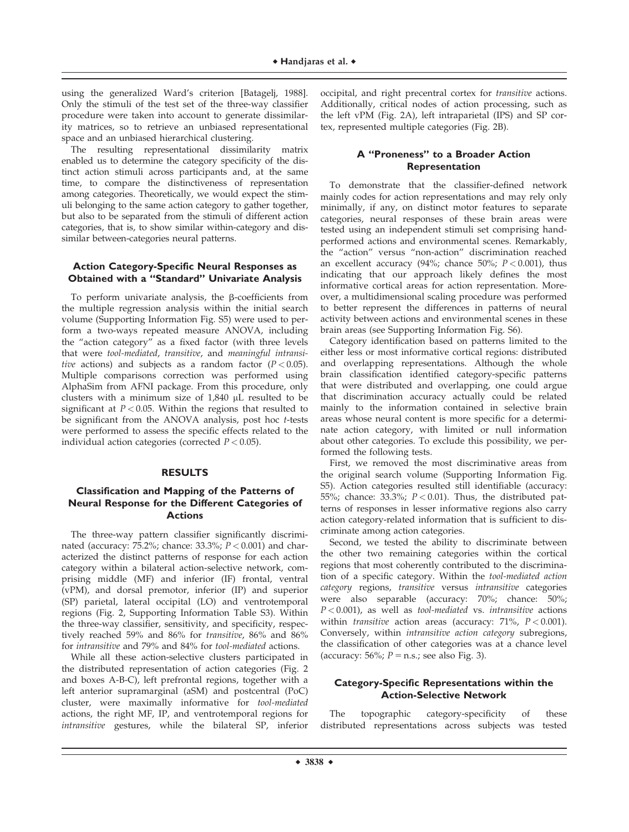using the generalized Ward's criterion [Batagelj, 1988]. Only the stimuli of the test set of the three-way classifier procedure were taken into account to generate dissimilarity matrices, so to retrieve an unbiased representational space and an unbiased hierarchical clustering.

The resulting representational dissimilarity matrix enabled us to determine the category specificity of the distinct action stimuli across participants and, at the same time, to compare the distinctiveness of representation among categories. Theoretically, we would expect the stimuli belonging to the same action category to gather together, but also to be separated from the stimuli of different action categories, that is, to show similar within-category and dissimilar between-categories neural patterns.

### **Action Category-Specific Neural Responses as Obtained with a "Standard" Univariate Analysis**

To perform univariate analysis, the  $\beta$ -coefficients from the multiple regression analysis within the initial search volume (Supporting Information Fig. S5) were used to perform a two-ways repeated measure ANOVA, including the "action category" as a fixed factor (with three levels that were tool-mediated, transitive, and meaningful intransitive actions) and subjects as a random factor ( $P < 0.05$ ). Multiple comparisons correction was performed using AlphaSim from AFNI package. From this procedure, only clusters with a minimum size of  $1,840 \mu L$  resulted to be significant at  $P < 0.05$ . Within the regions that resulted to be significant from the ANOVA analysis, post hoc t-tests were performed to assess the specific effects related to the individual action categories (corrected  $P < 0.05$ ).

#### **RESULTS**

# **Classification and Mapping of the Patterns of Neural Response for the Different Categories of Actions**

The three-way pattern classifier significantly discriminated (accuracy: 75.2%; chance: 33.3%;  $P < 0.001$ ) and characterized the distinct patterns of response for each action category within a bilateral action-selective network, comprising middle (MF) and inferior (IF) frontal, ventral (vPM), and dorsal premotor, inferior (IP) and superior (SP) parietal, lateral occipital (LO) and ventrotemporal regions (Fig. 2, Supporting Information Table S3). Within the three-way classifier, sensitivity, and specificity, respectively reached 59% and 86% for transitive, 86% and 86% for intransitive and 79% and 84% for tool-mediated actions.

While all these action-selective clusters participated in the distributed representation of action categories (Fig. 2 and boxes A-B-C), left prefrontal regions, together with a left anterior supramarginal (aSM) and postcentral (PoC) cluster, were maximally informative for tool-mediated actions, the right MF, IP, and ventrotemporal regions for intransitive gestures, while the bilateral SP, inferior occipital, and right precentral cortex for transitive actions. Additionally, critical nodes of action processing, such as the left vPM (Fig. 2A), left intraparietal (IPS) and SP cortex, represented multiple categories (Fig. 2B).

# **A "Proneness" to a Broader Action Representation**

To demonstrate that the classifier-defined network mainly codes for action representations and may rely only minimally, if any, on distinct motor features to separate categories, neural responses of these brain areas were tested using an independent stimuli set comprising handperformed actions and environmental scenes. Remarkably, the "action" versus "non-action" discrimination reached an excellent accuracy (94%; chance 50%;  $P < 0.001$ ), thus indicating that our approach likely defines the most informative cortical areas for action representation. Moreover, a multidimensional scaling procedure was performed to better represent the differences in patterns of neural activity between actions and environmental scenes in these brain areas (see Supporting Information Fig. S6).

Category identification based on patterns limited to the either less or most informative cortical regions: distributed and overlapping representations. Although the whole brain classification identified category-specific patterns that were distributed and overlapping, one could argue that discrimination accuracy actually could be related mainly to the information contained in selective brain areas whose neural content is more specific for a determinate action category, with limited or null information about other categories. To exclude this possibility, we performed the following tests.

First, we removed the most discriminative areas from the original search volume (Supporting Information Fig. S5). Action categories resulted still identifiable (accuracy: 55%; chance: 33.3%;  $P < 0.01$ ). Thus, the distributed patterns of responses in lesser informative regions also carry action category-related information that is sufficient to discriminate among action categories.

Second, we tested the ability to discriminate between the other two remaining categories within the cortical regions that most coherently contributed to the discrimination of a specific category. Within the tool-mediated action category regions, transitive versus intransitive categories were also separable (accuracy: 70%; chance: 50%;  $P < 0.001$ ), as well as tool-mediated vs. intransitive actions within *transitive* action areas (accuracy:  $71\%$ ,  $P < 0.001$ ). Conversely, within intransitive action category subregions, the classification of other categories was at a chance level (accuracy: 56%;  $P =$  n.s.; see also Fig. 3).

# **Category-Specific Representations within the Action-Selective Network**

The topographic category-specificity of these distributed representations across subjects was tested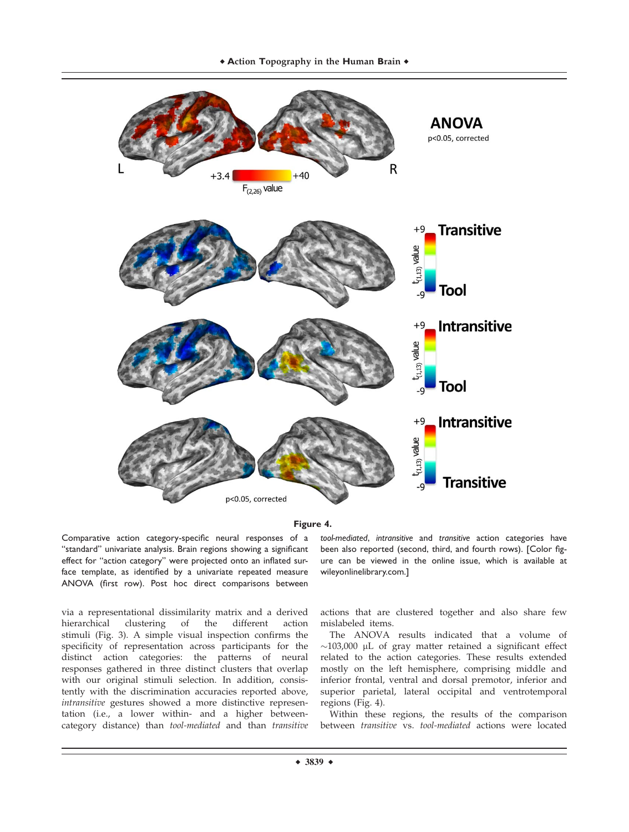

**Figure 4.**

Comparative action category-specific neural responses of a "standard" univariate analysis. Brain regions showing a significant effect for "action category" were projected onto an inflated surface template, as identified by a univariate repeated measure ANOVA (first row). Post hoc direct comparisons between

via a representational dissimilarity matrix and a derived hierarchical clustering of the different action stimuli (Fig. 3). A simple visual inspection confirms the specificity of representation across participants for the distinct action categories: the patterns of neural responses gathered in three distinct clusters that overlap with our original stimuli selection. In addition, consistently with the discrimination accuracies reported above, intransitive gestures showed a more distinctive representation (i.e., a lower within- and a higher betweencategory distance) than tool-mediated and than transitive *tool-mediated*, *intransitive* and *transitive* action categories have been also reported (second, third, and fourth rows). [Color figure can be viewed in the online issue, which is available at [wileyonlinelibrary.com](http://wileyonlinelibrary.com).]

actions that are clustered together and also share few mislabeled items.

The ANOVA results indicated that a volume of  $\sim$ 103,000 µL of gray matter retained a significant effect related to the action categories. These results extended mostly on the left hemisphere, comprising middle and inferior frontal, ventral and dorsal premotor, inferior and superior parietal, lateral occipital and ventrotemporal regions (Fig. 4).

Within these regions, the results of the comparison between transitive vs. tool-mediated actions were located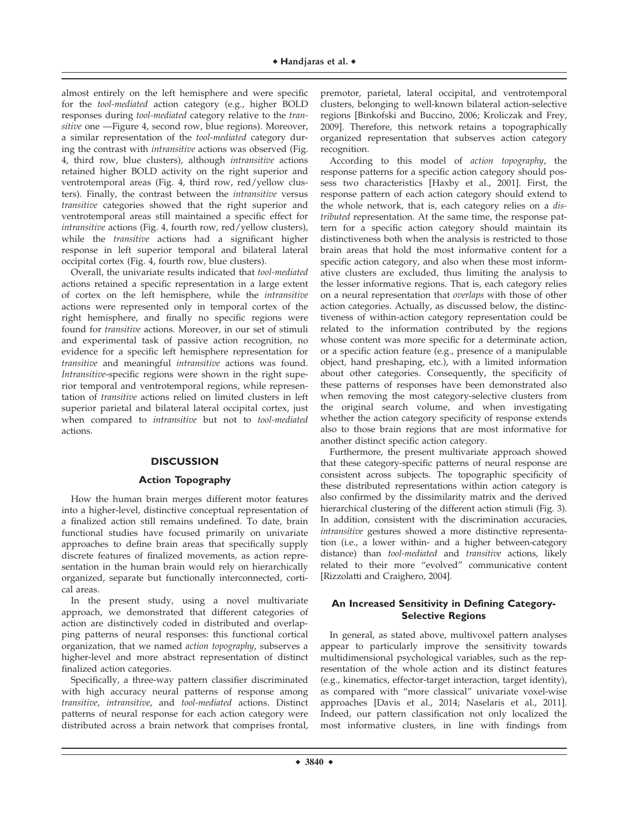almost entirely on the left hemisphere and were specific for the tool-mediated action category (e.g., higher BOLD responses during tool-mediated category relative to the transitive one —Figure 4, second row, blue regions). Moreover, a similar representation of the tool-mediated category during the contrast with intransitive actions was observed (Fig. 4, third row, blue clusters), although intransitive actions retained higher BOLD activity on the right superior and ventrotemporal areas (Fig. 4, third row, red/yellow clusters). Finally, the contrast between the intransitive versus transitive categories showed that the right superior and ventrotemporal areas still maintained a specific effect for intransitive actions (Fig. 4, fourth row, red/yellow clusters), while the transitive actions had a significant higher response in left superior temporal and bilateral lateral occipital cortex (Fig. 4, fourth row, blue clusters).

Overall, the univariate results indicated that tool-mediated actions retained a specific representation in a large extent of cortex on the left hemisphere, while the intransitive actions were represented only in temporal cortex of the right hemisphere, and finally no specific regions were found for transitive actions. Moreover, in our set of stimuli and experimental task of passive action recognition, no evidence for a specific left hemisphere representation for transitive and meaningful intransitive actions was found. Intransitive-specific regions were shown in the right superior temporal and ventrotemporal regions, while representation of transitive actions relied on limited clusters in left superior parietal and bilateral lateral occipital cortex, just when compared to intransitive but not to tool-mediated actions.

## **DISCUSSION**

## **Action Topography**

How the human brain merges different motor features into a higher-level, distinctive conceptual representation of a finalized action still remains undefined. To date, brain functional studies have focused primarily on univariate approaches to define brain areas that specifically supply discrete features of finalized movements, as action representation in the human brain would rely on hierarchically organized, separate but functionally interconnected, cortical areas.

In the present study, using a novel multivariate approach, we demonstrated that different categories of action are distinctively coded in distributed and overlapping patterns of neural responses: this functional cortical organization, that we named action topography, subserves a higher-level and more abstract representation of distinct finalized action categories.

Specifically, a three-way pattern classifier discriminated with high accuracy neural patterns of response among transitive, intransitive, and tool-mediated actions. Distinct patterns of neural response for each action category were distributed across a brain network that comprises frontal,

premotor, parietal, lateral occipital, and ventrotemporal clusters, belonging to well-known bilateral action-selective regions [Binkofski and Buccino, 2006; Kroliczak and Frey, 2009]. Therefore, this network retains a topographically organized representation that subserves action category recognition.

According to this model of action topography, the response patterns for a specific action category should possess two characteristics [Haxby et al., 2001]. First, the response pattern of each action category should extend to the whole network, that is, each category relies on a distributed representation. At the same time, the response pattern for a specific action category should maintain its distinctiveness both when the analysis is restricted to those brain areas that hold the most informative content for a specific action category, and also when these most informative clusters are excluded, thus limiting the analysis to the lesser informative regions. That is, each category relies on a neural representation that overlaps with those of other action categories. Actually, as discussed below, the distinctiveness of within-action category representation could be related to the information contributed by the regions whose content was more specific for a determinate action, or a specific action feature (e.g., presence of a manipulable object, hand preshaping, etc.), with a limited information about other categories. Consequently, the specificity of these patterns of responses have been demonstrated also when removing the most category-selective clusters from the original search volume, and when investigating whether the action category specificity of response extends also to those brain regions that are most informative for another distinct specific action category.

Furthermore, the present multivariate approach showed that these category-specific patterns of neural response are consistent across subjects. The topographic specificity of these distributed representations within action category is also confirmed by the dissimilarity matrix and the derived hierarchical clustering of the different action stimuli (Fig. 3). In addition, consistent with the discrimination accuracies, intransitive gestures showed a more distinctive representation (i.e., a lower within- and a higher between-category distance) than tool-mediated and transitive actions, likely related to their more "evolved" communicative content [Rizzolatti and Craighero, 2004].

# **An Increased Sensitivity in Defining Category-Selective Regions**

In general, as stated above, multivoxel pattern analyses appear to particularly improve the sensitivity towards multidimensional psychological variables, such as the representation of the whole action and its distinct features (e.g., kinematics, effector-target interaction, target identity), as compared with "more classical" univariate voxel-wise approaches [Davis et al., 2014; Naselaris et al., 2011]. Indeed, our pattern classification not only localized the most informative clusters, in line with findings from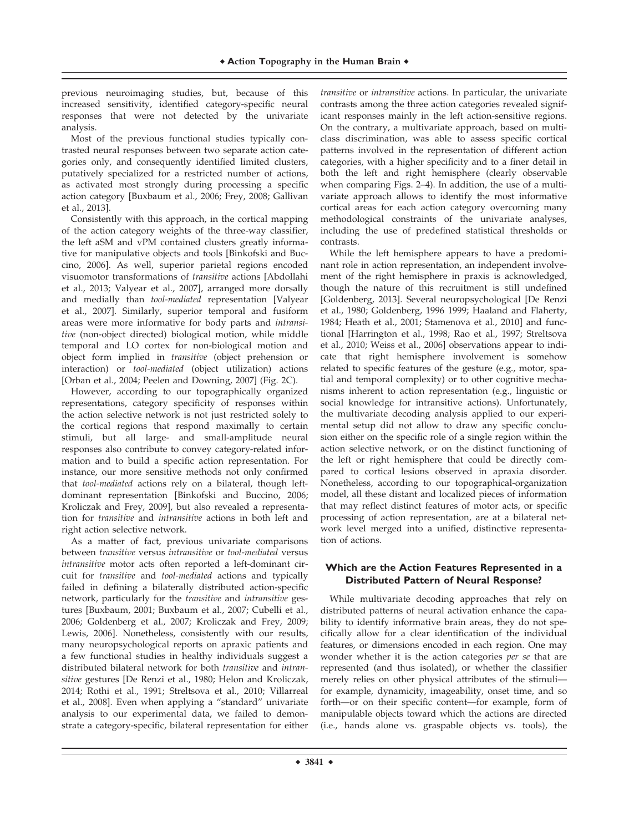previous neuroimaging studies, but, because of this increased sensitivity, identified category-specific neural responses that were not detected by the univariate analysis.

Most of the previous functional studies typically contrasted neural responses between two separate action categories only, and consequently identified limited clusters, putatively specialized for a restricted number of actions, as activated most strongly during processing a specific action category [Buxbaum et al., 2006; Frey, 2008; Gallivan et al., 2013].

Consistently with this approach, in the cortical mapping of the action category weights of the three-way classifier, the left aSM and vPM contained clusters greatly informative for manipulative objects and tools [Binkofski and Buccino, 2006]. As well, superior parietal regions encoded visuomotor transformations of transitive actions [Abdollahi et al., 2013; Valyear et al., 2007], arranged more dorsally and medially than tool-mediated representation [Valyear et al., 2007]. Similarly, superior temporal and fusiform areas were more informative for body parts and intransitive (non-object directed) biological motion, while middle temporal and LO cortex for non-biological motion and object form implied in transitive (object prehension or interaction) or tool-mediated (object utilization) actions [Orban et al., 2004; Peelen and Downing, 2007] (Fig. 2C).

However, according to our topographically organized representations, category specificity of responses within the action selective network is not just restricted solely to the cortical regions that respond maximally to certain stimuli, but all large- and small-amplitude neural responses also contribute to convey category-related information and to build a specific action representation. For instance, our more sensitive methods not only confirmed that tool-mediated actions rely on a bilateral, though leftdominant representation [Binkofski and Buccino, 2006; Kroliczak and Frey, 2009], but also revealed a representation for transitive and intransitive actions in both left and right action selective network.

As a matter of fact, previous univariate comparisons between transitive versus intransitive or tool-mediated versus intransitive motor acts often reported a left-dominant circuit for transitive and tool-mediated actions and typically failed in defining a bilaterally distributed action-specific network, particularly for the transitive and intransitive gestures [Buxbaum, 2001; Buxbaum et al., 2007; Cubelli et al., 2006; Goldenberg et al., 2007; Kroliczak and Frey, 2009; Lewis, 2006]. Nonetheless, consistently with our results, many neuropsychological reports on apraxic patients and a few functional studies in healthy individuals suggest a distributed bilateral network for both transitive and intransitive gestures [De Renzi et al., 1980; Helon and Kroliczak, 2014; Rothi et al., 1991; Streltsova et al., 2010; Villarreal et al., 2008]. Even when applying a "standard" univariate analysis to our experimental data, we failed to demonstrate a category-specific, bilateral representation for either

transitive or intransitive actions. In particular, the univariate contrasts among the three action categories revealed significant responses mainly in the left action-sensitive regions. On the contrary, a multivariate approach, based on multiclass discrimination, was able to assess specific cortical patterns involved in the representation of different action categories, with a higher specificity and to a finer detail in both the left and right hemisphere (clearly observable when comparing Figs. 2–4). In addition, the use of a multivariate approach allows to identify the most informative cortical areas for each action category overcoming many methodological constraints of the univariate analyses, including the use of predefined statistical thresholds or contrasts.

While the left hemisphere appears to have a predominant role in action representation, an independent involvement of the right hemisphere in praxis is acknowledged, though the nature of this recruitment is still undefined [Goldenberg, 2013]. Several neuropsychological [De Renzi et al., 1980; Goldenberg, 1996 1999; Haaland and Flaherty, 1984; Heath et al., 2001; Stamenova et al., 2010] and functional [Harrington et al., 1998; Rao et al., 1997; Streltsova et al., 2010; Weiss et al., 2006] observations appear to indicate that right hemisphere involvement is somehow related to specific features of the gesture (e.g., motor, spatial and temporal complexity) or to other cognitive mechanisms inherent to action representation (e.g., linguistic or social knowledge for intransitive actions). Unfortunately, the multivariate decoding analysis applied to our experimental setup did not allow to draw any specific conclusion either on the specific role of a single region within the action selective network, or on the distinct functioning of the left or right hemisphere that could be directly compared to cortical lesions observed in apraxia disorder. Nonetheless, according to our topographical-organization model, all these distant and localized pieces of information that may reflect distinct features of motor acts, or specific processing of action representation, are at a bilateral network level merged into a unified, distinctive representation of actions.

# **Which are the Action Features Represented in a Distributed Pattern of Neural Response?**

While multivariate decoding approaches that rely on distributed patterns of neural activation enhance the capability to identify informative brain areas, they do not specifically allow for a clear identification of the individual features, or dimensions encoded in each region. One may wonder whether it is the action categories per se that are represented (and thus isolated), or whether the classifier merely relies on other physical attributes of the stimuli for example, dynamicity, imageability, onset time, and so forth—or on their specific content—for example, form of manipulable objects toward which the actions are directed (i.e., hands alone vs. graspable objects vs. tools), the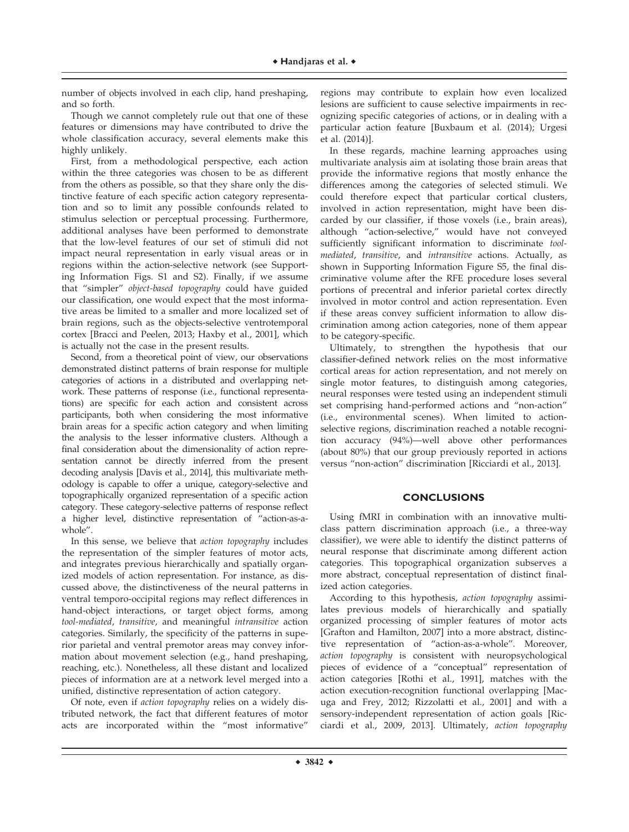number of objects involved in each clip, hand preshaping, and so forth.

Though we cannot completely rule out that one of these features or dimensions may have contributed to drive the whole classification accuracy, several elements make this highly unlikely.

First, from a methodological perspective, each action within the three categories was chosen to be as different from the others as possible, so that they share only the distinctive feature of each specific action category representation and so to limit any possible confounds related to stimulus selection or perceptual processing. Furthermore, additional analyses have been performed to demonstrate that the low-level features of our set of stimuli did not impact neural representation in early visual areas or in regions within the action-selective network (see Supporting Information Figs. S1 and S2). Finally, if we assume that "simpler" object-based topography could have guided our classification, one would expect that the most informative areas be limited to a smaller and more localized set of brain regions, such as the objects-selective ventrotemporal cortex [Bracci and Peelen, 2013; Haxby et al., 2001], which is actually not the case in the present results.

Second, from a theoretical point of view, our observations demonstrated distinct patterns of brain response for multiple categories of actions in a distributed and overlapping network. These patterns of response (i.e., functional representations) are specific for each action and consistent across participants, both when considering the most informative brain areas for a specific action category and when limiting the analysis to the lesser informative clusters. Although a final consideration about the dimensionality of action representation cannot be directly inferred from the present decoding analysis [Davis et al., 2014], this multivariate methodology is capable to offer a unique, category-selective and topographically organized representation of a specific action category. These category-selective patterns of response reflect a higher level, distinctive representation of "action-as-awhole".

In this sense, we believe that action topography includes the representation of the simpler features of motor acts, and integrates previous hierarchically and spatially organized models of action representation. For instance, as discussed above, the distinctiveness of the neural patterns in ventral temporo-occipital regions may reflect differences in hand-object interactions, or target object forms, among tool-mediated, transitive, and meaningful intransitive action categories. Similarly, the specificity of the patterns in superior parietal and ventral premotor areas may convey information about movement selection (e.g., hand preshaping, reaching, etc.). Nonetheless, all these distant and localized pieces of information are at a network level merged into a unified, distinctive representation of action category.

Of note, even if action topography relies on a widely distributed network, the fact that different features of motor acts are incorporated within the "most informative" regions may contribute to explain how even localized lesions are sufficient to cause selective impairments in recognizing specific categories of actions, or in dealing with a particular action feature [Buxbaum et al. (2014); Urgesi et al. (2014)].

In these regards, machine learning approaches using multivariate analysis aim at isolating those brain areas that provide the informative regions that mostly enhance the differences among the categories of selected stimuli. We could therefore expect that particular cortical clusters, involved in action representation, might have been discarded by our classifier, if those voxels (i.e., brain areas), although "action-selective," would have not conveyed sufficiently significant information to discriminate toolmediated, transitive, and intransitive actions. Actually, as shown in Supporting Information Figure S5, the final discriminative volume after the RFE procedure loses several portions of precentral and inferior parietal cortex directly involved in motor control and action representation. Even if these areas convey sufficient information to allow discrimination among action categories, none of them appear to be category-specific.

Ultimately, to strengthen the hypothesis that our classifier-defined network relies on the most informative cortical areas for action representation, and not merely on single motor features, to distinguish among categories, neural responses were tested using an independent stimuli set comprising hand-performed actions and "non-action" (i.e., environmental scenes). When limited to actionselective regions, discrimination reached a notable recognition accuracy (94%)—well above other performances (about 80%) that our group previously reported in actions versus "non-action" discrimination [Ricciardi et al., 2013].

## **CONCLUSIONS**

Using fMRI in combination with an innovative multiclass pattern discrimination approach (i.e., a three-way classifier), we were able to identify the distinct patterns of neural response that discriminate among different action categories. This topographical organization subserves a more abstract, conceptual representation of distinct finalized action categories.

According to this hypothesis, action topography assimilates previous models of hierarchically and spatially organized processing of simpler features of motor acts [Grafton and Hamilton, 2007] into a more abstract, distinctive representation of "action-as-a-whole". Moreover, action topography is consistent with neuropsychological pieces of evidence of a "conceptual" representation of action categories [Rothi et al., 1991], matches with the action execution-recognition functional overlapping [Macuga and Frey, 2012; Rizzolatti et al., 2001] and with a sensory-independent representation of action goals [Ricciardi et al., 2009, 2013]. Ultimately, action topography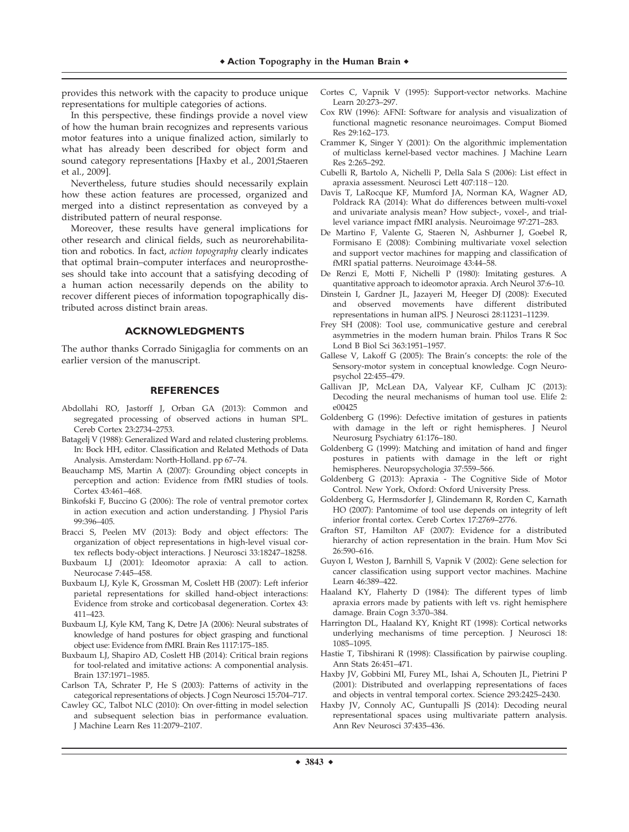provides this network with the capacity to produce unique representations for multiple categories of actions.

In this perspective, these findings provide a novel view of how the human brain recognizes and represents various motor features into a unique finalized action, similarly to what has already been described for object form and sound category representations [Haxby et al., 2001;Staeren et al., 2009].

Nevertheless, future studies should necessarily explain how these action features are processed, organized and merged into a distinct representation as conveyed by a distributed pattern of neural response.

Moreover, these results have general implications for other research and clinical fields, such as neurorehabilitation and robotics. In fact, action topography clearly indicates that optimal brain–computer interfaces and neuroprostheses should take into account that a satisfying decoding of a human action necessarily depends on the ability to recover different pieces of information topographically distributed across distinct brain areas.

## **ACKNOWLEDGMENTS**

The author thanks Corrado Sinigaglia for comments on an earlier version of the manuscript.

#### **REFERENCES**

- Abdollahi RO, Jastorff J, Orban GA (2013): Common and segregated processing of observed actions in human SPL. Cereb Cortex 23:2734–2753.
- Batagelj V (1988): Generalized Ward and related clustering problems. In: Bock HH, editor. Classification and Related Methods of Data Analysis. Amsterdam: North-Holland. pp 67–74.
- Beauchamp MS, Martin A (2007): Grounding object concepts in perception and action: Evidence from fMRI studies of tools. Cortex 43:461–468.
- Binkofski F, Buccino G (2006): The role of ventral premotor cortex in action execution and action understanding. J Physiol Paris 99:396–405.
- Bracci S, Peelen MV (2013): Body and object effectors: The organization of object representations in high-level visual cortex reflects body-object interactions. J Neurosci 33:18247–18258.
- Buxbaum LJ (2001): Ideomotor apraxia: A call to action. Neurocase 7:445–458.
- Buxbaum LJ, Kyle K, Grossman M, Coslett HB (2007): Left inferior parietal representations for skilled hand-object interactions: Evidence from stroke and corticobasal degeneration. Cortex 43: 411–423.
- Buxbaum LJ, Kyle KM, Tang K, Detre JA (2006): Neural substrates of knowledge of hand postures for object grasping and functional object use: Evidence from fMRI. Brain Res 1117:175–185.
- Buxbaum LJ, Shapiro AD, Coslett HB (2014): Critical brain regions for tool-related and imitative actions: A componential analysis. Brain 137:1971–1985.
- Carlson TA, Schrater P, He S (2003): Patterns of activity in the categorical representations of objects. J Cogn Neurosci 15:704–717.
- Cawley GC, Talbot NLC (2010): On over-fitting in model selection and subsequent selection bias in performance evaluation. J Machine Learn Res 11:2079–2107.
- Cortes C, Vapnik V (1995): Support-vector networks. Machine Learn 20:273–297.
- Cox RW (1996): AFNI: Software for analysis and visualization of functional magnetic resonance neuroimages. Comput Biomed Res 29:162–173.
- Crammer K, Singer Y (2001): On the algorithmic implementation of multiclass kernel-based vector machines. J Machine Learn Res 2:265–292.
- Cubelli R, Bartolo A, Nichelli P, Della Sala S (2006): List effect in apraxia assessment. Neurosci Lett 407:118-120.
- Davis T, LaRocque KF, Mumford JA, Norman KA, Wagner AD, Poldrack RA (2014): What do differences between multi-voxel and univariate analysis mean? How subject-, voxel-, and triallevel variance impact fMRI analysis. Neuroimage 97:271–283.
- De Martino F, Valente G, Staeren N, Ashburner J, Goebel R, Formisano E (2008): Combining multivariate voxel selection and support vector machines for mapping and classification of fMRI spatial patterns. Neuroimage 43:44–58.
- De Renzi E, Motti F, Nichelli P (1980): Imitating gestures. A quantitative approach to ideomotor apraxia. Arch Neurol 37:6–10.
- Dinstein I, Gardner JL, Jazayeri M, Heeger DJ (2008): Executed and observed movements have different distributed representations in human aIPS. J Neurosci 28:11231–11239.
- Frey SH (2008): Tool use, communicative gesture and cerebral asymmetries in the modern human brain. Philos Trans R Soc Lond B Biol Sci 363:1951–1957.
- Gallese V, Lakoff G (2005): The Brain's concepts: the role of the Sensory-motor system in conceptual knowledge. Cogn Neuropsychol 22:455–479.
- Gallivan JP, McLean DA, Valyear KF, Culham JC (2013): Decoding the neural mechanisms of human tool use. Elife 2: e00425
- Goldenberg G (1996): Defective imitation of gestures in patients with damage in the left or right hemispheres. J Neurol Neurosurg Psychiatry 61:176–180.
- Goldenberg G (1999): Matching and imitation of hand and finger postures in patients with damage in the left or right hemispheres. Neuropsychologia 37:559–566.
- Goldenberg G (2013): Apraxia The Cognitive Side of Motor Control. New York, Oxford: Oxford University Press.
- Goldenberg G, Hermsdorfer J, Glindemann R, Rorden C, Karnath HO (2007): Pantomime of tool use depends on integrity of left inferior frontal cortex. Cereb Cortex 17:2769–2776.
- Grafton ST, Hamilton AF (2007): Evidence for a distributed hierarchy of action representation in the brain. Hum Mov Sci 26:590–616.
- Guyon I, Weston J, Barnhill S, Vapnik V (2002): Gene selection for cancer classification using support vector machines. Machine Learn 46:389–422.
- Haaland KY, Flaherty D (1984): The different types of limb apraxia errors made by patients with left vs. right hemisphere damage. Brain Cogn 3:370–384.
- Harrington DL, Haaland KY, Knight RT (1998): Cortical networks underlying mechanisms of time perception. J Neurosci 18: 1085–1095.
- Hastie T, Tibshirani R (1998): Classification by pairwise coupling. Ann Stats 26:451–471.
- Haxby JV, Gobbini MI, Furey ML, Ishai A, Schouten JL, Pietrini P (2001): Distributed and overlapping representations of faces and objects in ventral temporal cortex. Science 293:2425–2430.
- Haxby JV, Connoly AC, Guntupalli JS (2014): Decoding neural representational spaces using multivariate pattern analysis. Ann Rev Neurosci 37:435–436.